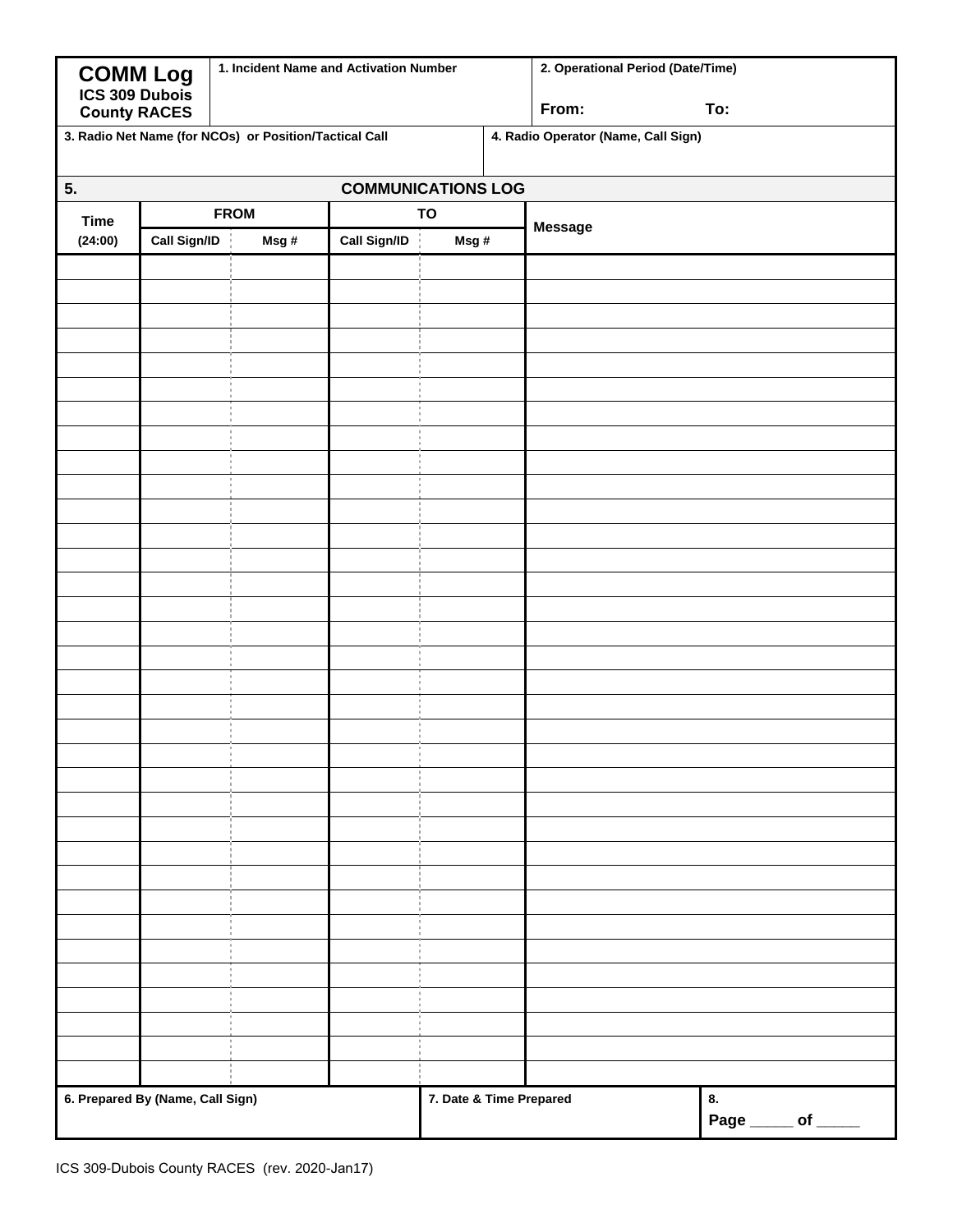| <b>COMM Log</b><br>ICS 309 Dubois | 1. Incident Name and Activation Number |                                                        |              |  | 2. Operational Period (Date/Time) |                                     |                                                         |  |
|-----------------------------------|----------------------------------------|--------------------------------------------------------|--------------|--|-----------------------------------|-------------------------------------|---------------------------------------------------------|--|
|                                   | <b>County RACES</b>                    |                                                        |              |  |                                   | From:                               | To:                                                     |  |
|                                   |                                        | 3. Radio Net Name (for NCOs) or Position/Tactical Call |              |  |                                   | 4. Radio Operator (Name, Call Sign) |                                                         |  |
| 5.<br><b>COMMUNICATIONS LOG</b>   |                                        |                                                        |              |  |                                   |                                     |                                                         |  |
| <b>Time</b>                       | <b>FROM</b>                            |                                                        | TO           |  |                                   |                                     |                                                         |  |
| (24:00)                           | Call Sign/ID                           | Msg#                                                   | Call Sign/ID |  | Msg#                              | <b>Message</b>                      |                                                         |  |
|                                   |                                        |                                                        |              |  |                                   |                                     |                                                         |  |
|                                   |                                        |                                                        |              |  |                                   |                                     |                                                         |  |
|                                   |                                        |                                                        |              |  |                                   |                                     |                                                         |  |
|                                   |                                        |                                                        |              |  |                                   |                                     |                                                         |  |
|                                   |                                        |                                                        |              |  |                                   |                                     |                                                         |  |
|                                   |                                        |                                                        |              |  |                                   |                                     |                                                         |  |
|                                   |                                        |                                                        |              |  |                                   |                                     |                                                         |  |
|                                   |                                        |                                                        |              |  |                                   |                                     |                                                         |  |
|                                   |                                        |                                                        |              |  |                                   |                                     |                                                         |  |
|                                   |                                        |                                                        |              |  |                                   |                                     |                                                         |  |
|                                   |                                        |                                                        |              |  |                                   |                                     |                                                         |  |
|                                   |                                        |                                                        |              |  |                                   |                                     |                                                         |  |
|                                   |                                        |                                                        |              |  |                                   |                                     |                                                         |  |
|                                   |                                        |                                                        |              |  |                                   |                                     |                                                         |  |
|                                   |                                        |                                                        |              |  |                                   |                                     |                                                         |  |
|                                   |                                        |                                                        |              |  |                                   |                                     |                                                         |  |
|                                   |                                        |                                                        |              |  |                                   |                                     |                                                         |  |
|                                   |                                        |                                                        |              |  |                                   |                                     |                                                         |  |
|                                   |                                        |                                                        |              |  |                                   |                                     |                                                         |  |
|                                   |                                        |                                                        |              |  |                                   |                                     |                                                         |  |
|                                   |                                        |                                                        |              |  |                                   |                                     |                                                         |  |
|                                   |                                        |                                                        |              |  |                                   |                                     |                                                         |  |
|                                   |                                        |                                                        |              |  |                                   |                                     |                                                         |  |
|                                   |                                        |                                                        |              |  |                                   |                                     |                                                         |  |
|                                   |                                        |                                                        |              |  |                                   |                                     |                                                         |  |
|                                   |                                        |                                                        |              |  |                                   |                                     |                                                         |  |
|                                   |                                        |                                                        |              |  |                                   |                                     |                                                         |  |
|                                   |                                        |                                                        |              |  |                                   |                                     |                                                         |  |
|                                   |                                        |                                                        |              |  |                                   |                                     |                                                         |  |
|                                   |                                        |                                                        |              |  |                                   |                                     |                                                         |  |
|                                   |                                        |                                                        |              |  |                                   |                                     |                                                         |  |
|                                   |                                        |                                                        |              |  |                                   |                                     |                                                         |  |
|                                   |                                        |                                                        |              |  |                                   |                                     |                                                         |  |
| 6. Prepared By (Name, Call Sign)  |                                        |                                                        |              |  | 7. Date & Time Prepared           |                                     | 8.<br>Page $\rule{1em}{0.15mm}$ of $\rule{1em}{0.15mm}$ |  |